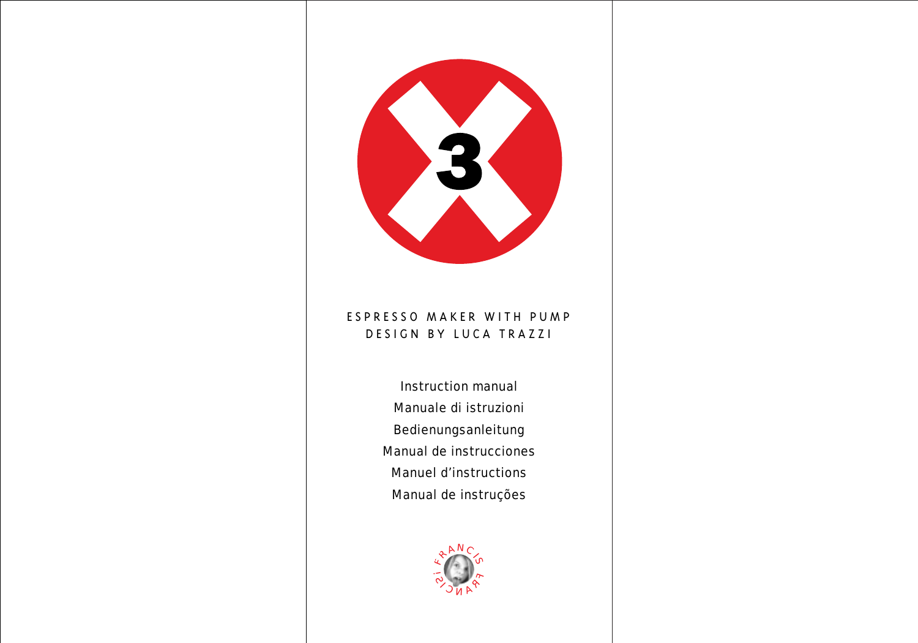

# ESPRESSO MAKER WITH PUMP DESIGN BY LUCA TRAZZI

Instruction manual Manuale di istruzioni Bedienungsanleitung Manual de instrucciones Manuel d'instructions Manual de instruções

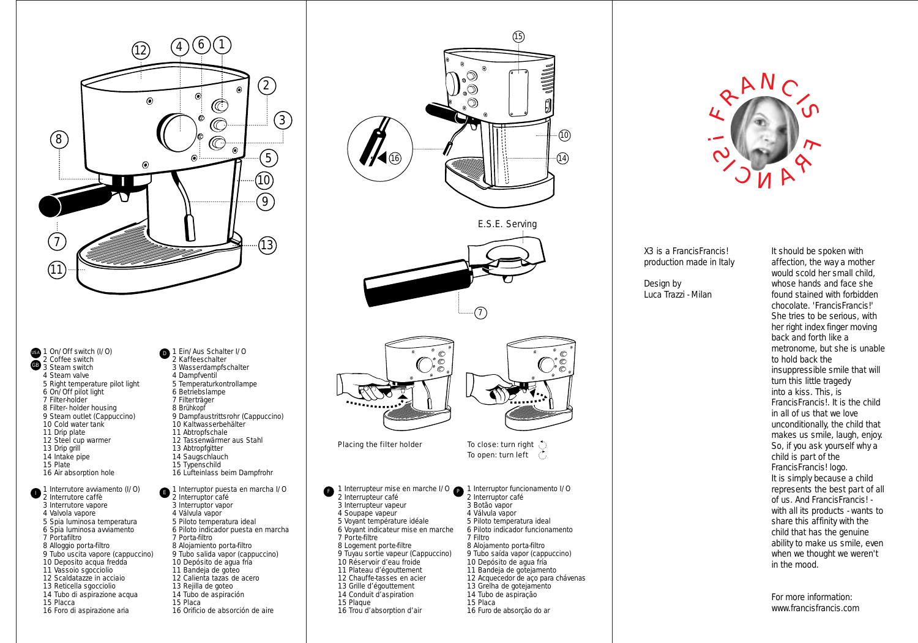

- $\blacksquare$  1 On/Off switch (I/O) 2 Coffee switch 3 Steam switch 4 Steam valve 5 Right temperature pilot light 6 On/Off pilot light 7 Filter-holder 8 Filter- holder housing 9 Steam outlet (Cappuccino) 10 Cold water tank 11 Drip plate 12 Steel cup warmer 13 Drip grill 14 Intake pipe 15 Plate 16 Air absorption hole
- 1 Interrutore avviamento (I/O) 2 Interrutore caffè 3 Interrutore vapore 4 Valvola vapore 5 Spia luminosa temperatura 6 Spia luminosa avviamento 7 Portafiltro 8 Alloggio porta-filtro 9 Tubo uscita vapore (cappuccino) 10 Deposito acqua fredda 11 Vassoio sgocciolio 12 Scaldatazze in acciaio 13 Reticella sgocciolio 14 Tubo di aspirazione acqua 15 Placca 16 Foro di aspirazione aria
- 1 Ein/Aus Schalter I/O 2 Kaffeeschalter 3 Wasserdampfschalter 4 Dampfventil 5 Temperaturkontrollampe 6 Betriebslampe 7 Filterträger 8 Brühkopf 9 Dampfaustrittsrohr (Cappuccino) 10 Kaltwasserbehälter 11 Abtropfschale 12 Tassenwärmer aus Stahl 13 Abtropfgitter 14 Saugschlauch 15 Typenschild 16 Lufteinlass beim Dampfrohr
- 1 Interruptor puesta en marcha I/O 2 Interruptor café 3 Interruptor vapor 4 Válvula vapor 5 Piloto temperatura ideal 6 Piloto indicador puesta en marcha 7 Porta-filtro 8 Alojamiento porta-filtro 9 Tubo salida vapor (cappuccino) 10 Depósito de agua fría 11 Bandeja de goteo 12 Calienta tazas de acero 13 Rejilla de goteo 14 Tubo de aspiración 15 Placa 16 Orificio de absorción de aire





X3 is a FrancisFrancis! production made in Italy

Design by Luca Trazzi - Milan It should be spoken with affection, the way a mother would scold her small child, whose hands and face she found stained with forbidden chocolate. 'FrancisFrancis!' She tries to be serious, with her right index finger moving back and forth like a metronome, but she is unable to hold back the insuppressible smile that will turn this little tragedy into a kiss. This, is FrancisFrancis!. It is the child in all of us that we love unconditionally, the child that makes us smile, laugh, enjoy. So, if you ask yourself why a child is part of the FrancisFrancis! logo. It is simply because a child represents the best part of all of us. And FrancisFrancis! with all its products - wants to share this affinity with the child that has the genuine ability to make us smile, even when we thought we weren't in the mood.

For more information: www.francisfrancis.com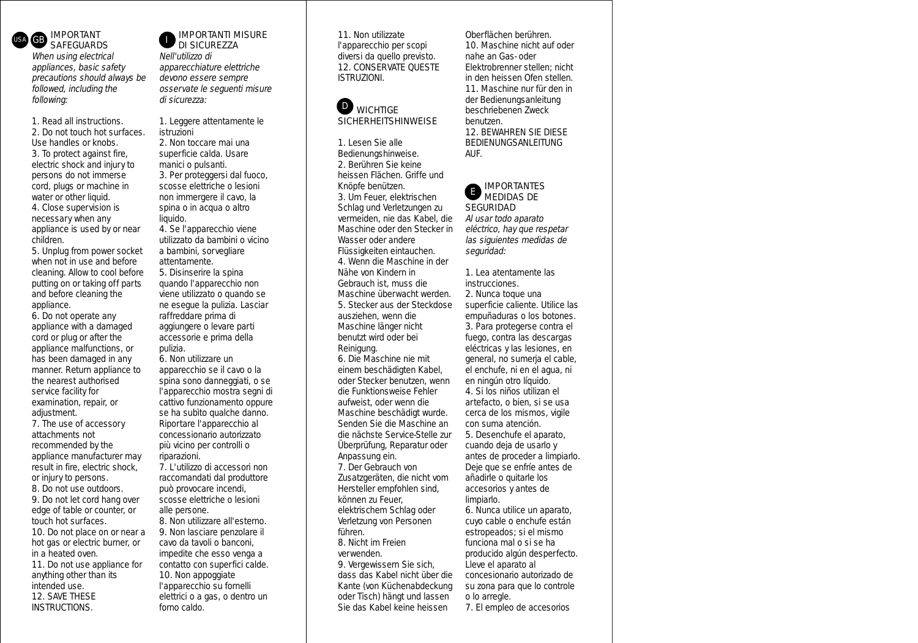

When using electrical appliances, basic safety precautions should always be followed, including the following:

1. Read all instructions. 2. Do not touch hot surfaces. Use handles or knobs. 3. To protect against fire, electric shock and injury to persons do not immerse cord, plugs or machine in water or other liquid.

4. Close supervision is necessary when any appliance is used by or near children.

5. Unplug from power socket when not in use and before cleaning. Allow to cool before putting on or taking off parts and before cleaning the appliance.

6. Do not operate any appliance with a damaged cord or plug or after the appliance malfunctions, or has been damaged in any manner. Return appliance to the nearest authorised service facility for examination, repair, or adiustment.

7. The use of accessory attachments not recommended by the appliance manufacturer may result in fire, electric shock, or injury to persons. 8. Do not use outdoors.

9. Do not let cord hang over edge of table or counter, or touch hot surfaces.

10. Do not place on or near a hot gas or electric burner, or in a heated oven.

11. Do not use appliance for anything other than its intended use. 12. SAVE THESE INSTRUCTIONS.

# IMPORTANTI MISURE DI SICUREZZA

Nell'utilizzo di apparecchiature elettriche devono essere sempre osservate le seguenti misure di sicurezza:

1. Leggere attentamente le istruzioni

2. Non toccare mai una superficie calda. Usare manici o pulsanti.

3. Per proteggersi dal fuoco, scosse elettriche o lesioni non immergere il cavo, la spina o in acqua o altro liquido.

4. Se l'apparecchio viene utilizzato da bambini o vicino a bambini, sorvegliare attentamente.

5. Disinserire la spina quando l'apparecchio non viene utilizzato o quando se ne esegue la pulizia. Lasciar raffreddare prima di aggiungere o levare parti accessorie e prima della pulizia.

6. Non utilizzare un

apparecchio se il cavo o la spina sono danneggiati, o se l'apparecchio mostra segni di cattivo funzionamento oppure se ha subìto qualche danno. Riportare l'apparecchio al concessionario autorizzato più vicino per controlli o riparazioni.

7. L'utilizzo di accessori non raccomandati dal produttore può provocare incendi, scosse elettriche o lesioni alle persone.

8. Non utilizzare all'esterno. 9. Non lasciare penzolare il cavo da tavoli o banconi, impedite che esso venga a contatto con superfici calde. 10. Non appoggiate l'apparecchio su fornelli elettrici o a gas, o dentro un forno caldo.

11. Non utilizzate l'apparecchio per scopi diversi da quello previsto. 12. CONSERVATE QUESTE ISTRUZIONI.

#### **WICHTIGE SICHERHEITSHINWEISE** D

1. Lesen Sie alle Bedienungshinweise. 2. Berühren Sie keine heissen Flächen. Griffe und Knöpfe benützen. 3. Um Feuer, elektrischen Schlag und Verletzungen zu vermeiden, nie das Kabel, die Maschine oder den Stecker in Wasser oder andere Flüssigkeiten eintauchen. 4. Wenn die Maschine in der Nähe von Kindern in Gebrauch ist, muss die Maschine überwacht werden. 5. Stecker aus der Steckdose ausziehen, wenn die Maschine länger nicht benutzt wird oder bei Reinigung.

6. Die Maschine nie mit einem beschädigten Kabel, oder Stecker benutzen, wenn die Funktionsweise Fehler aufweist, oder wenn die Maschine beschädigt wurde. Senden Sie die Maschine an die nächste Service-Stelle zur Überprüfung, Reparatur oder Anpassung ein.

7. Der Gebrauch von Zusatzgeräten, die nicht vom Hersteller empfohlen sind, können zu Feuer, elektrischem Schlag oder Verletzung von Personen führen.

8. Nicht im Freien verwenden.

9. Vergewissern Sie sich, dass das Kabel nicht über die Kante (von Küchenabdeckung oder Tisch) hängt und lassen Sie das Kabel keine heissen

Oberflächen berühren. 10. Maschine nicht auf oder nahe an Gas- oder Elektrobrenner stellen; nicht in den heissen Ofen stellen. 11. Maschine nur für den in der Bedienungsanleitung beschriebenen Zweck benutzen. 12. BEWAHREN SIE DIESE

BEDIENUNGSANLEITUNG AUF.

#### IMPORTANTES MEDIDAS DE **SEGURIDAD** E

Al usar todo aparato eléctrico, hay que respetar las siguientes medidas de seguridad:

1. Lea atentamente las instrucciones.

2. Nunca toque una superficie caliente. Utilice las empuñaduras o los botones. 3. Para protegerse contra el fuego, contra las descargas eléctricas y las lesiones, en general, no sumerja el cable, el enchufe, ni en el agua, ni en ningún otro líquido.

4. Si los niños utilizan el artefacto, o bien, si se usa cerca de los mismos, vigile con suma atención.

5. Desenchufe el aparato, cuando deja de usarlo y antes de proceder a limpiarlo. Deje que se enfríe antes de añadirle o quitarle los accesorios y antes de limpiarlo.

6. Nunca utilice un aparato, cuyo cable o enchufe están estropeados; si el mismo funciona mal o si se ha producido algún desperfecto. Lleve el aparato al concesionario autorizado de su zona para que lo controle o lo arregle.

7. El empleo de accesorios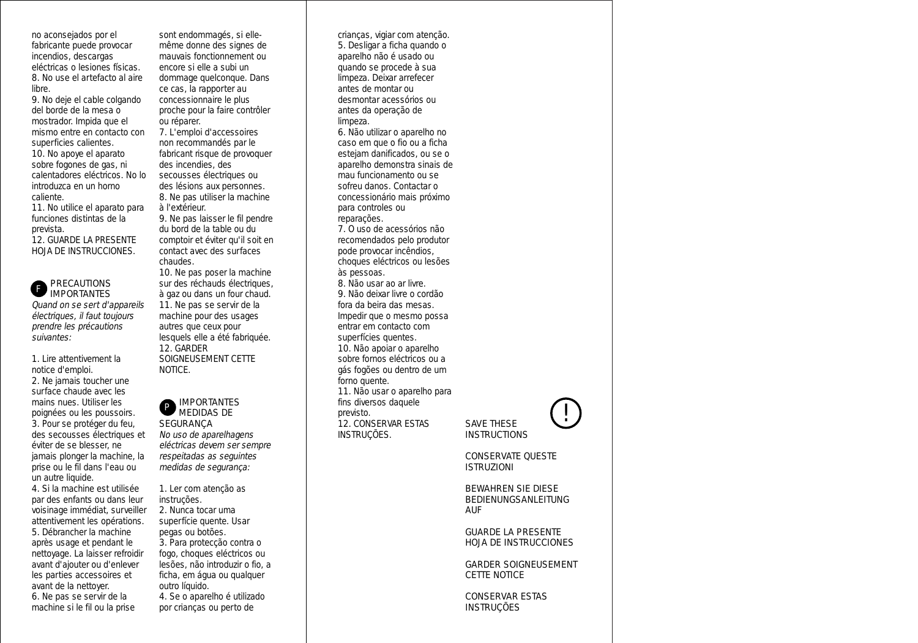no aconsejados por el fabricante puede provocar incendios, descargas eléctricas o lesiones físicas. 8. No use el artefacto al aire libre.

9. No deje el cable colgando del borde de la mesa o mostrador. Impida que el mismo entre en contacto con superficies calientes. 10. No apoye el aparato

sobre fogones de gas, ni calentadores eléctricos. No lo introduzca en un horno caliente.

11. No utilice el aparato para funciones distintas de la prevista.

12. GUARDE LA PRESENTE HOJA DE INSTRUCCIONES.

#### PRECAUTIONS IMPORTANTES F

Quand on se sert d'appareils électriques, il faut toujours prendre les précautions suivantes:

1. Lire attentivement la notice d'emploi. 2. Ne jamais toucher une surface chaude avec les mains nues. Utiliser les poignées ou les poussoirs. 3. Pour se protéger du feu, des secousses électriques et éviter de se blesser, ne jamais plonger la machine, la prise ou le fil dans l'eau ou un autre liquide.

4. Si la machine est utilisée par des enfants ou dans leur voisinage immédiat, surveiller attentivement les opérations. 5. Débrancher la machine après usage et pendant le nettoyage. La laisser refroidir avant d'ajouter ou d'enlever les parties accessoires et avant de la nettoyer. 6. Ne pas se servir de la machine si le fil ou la prise

sont endommagés, si ellemême donne des signes de mauvais fonctionnement ou encore si elle a subi un dommage quelconque. Dans ce cas, la rapporter au concessionnaire le plus proche pour la faire contrôler ou réparer.

7. L'emploi d'accessoires non recommandés par le fabricant risque de provoquer des incendies, des secousses électriques ou des lésions aux personnes. 8. Ne pas utiliser la machine à l'extérieur.

9. Ne pas laisser le fil pendre du bord de la table ou du comptoir et éviter qu'il soit en contact avec des surfaces chaudes.

10. Ne pas poser la machine sur des réchauds électriques, à gaz ou dans un four chaud. 11. Ne pas se servir de la machine pour des usages autres que ceux pour lesquels elle a été fabriquée. 12. GARDER SOIGNEUSEMENT CETTE NOTICE.

#### IMPORTANTES MEDIDAS DE **SEGURANÇA** P

No uso de aparelhagens eléctricas devem ser sempre respeitadas as seguintes medidas de segurança:

1. Ler com atenção as instruções. 2. Nunca tocar uma superfície quente. Usar pegas ou botões. 3. Para protecção contra o fogo, choques eléctricos ou lesões, não introduzir o fio, a ficha, em água ou qualquer outro líquido.

4. Se o aparelho é utilizado por crianças ou perto de

crianças, vigiar com atenção. 5. Desligar a ficha quando o aparelho não é usado ou quando se procede à sua limpeza. Deixar arrefecer antes de montar ou desmontar acessórios ou antes da operação de limpeza.

6. Não utilizar o aparelho no caso em que o fio ou a ficha estejam danificados, ou se o aparelho demonstra sinais de mau funcionamento ou se sofreu danos. Contactar o concessionário mais próximo para controles ou reparações.

7. O uso de acessórios não recomendados pelo produtor pode provocar incêndios, choques eléctricos ou lesões às pessoas.

8. Não usar ao ar livre. 9. Não deixar livre o cordão fora da beira das mesas. Impedir que o mesmo possa entrar em contacto com superfícies quentes.

10. Não apoiar o aparelho sobre fornos eléctricos ou a gás fogões ou dentro de um forno quente.

11. Não usar o aparelho para fins diversos daquele previsto. 12. CONSERVAR ESTAS

INSTRUÇÕES.

## SAVE THESE **INSTRUCTIONS**

CONSERVATE QUESTE ISTRUZIONI

!

BEWAHREN SIE DIESE BEDIENUNGSANLEITUNG AUF

GUARDE LA PRESENTE HOJA DE INSTRUCCIONES

GARDER SOIGNEUSEMENT CETTE NOTICE

CONSERVAR ESTAS **INSTRUÇÕES**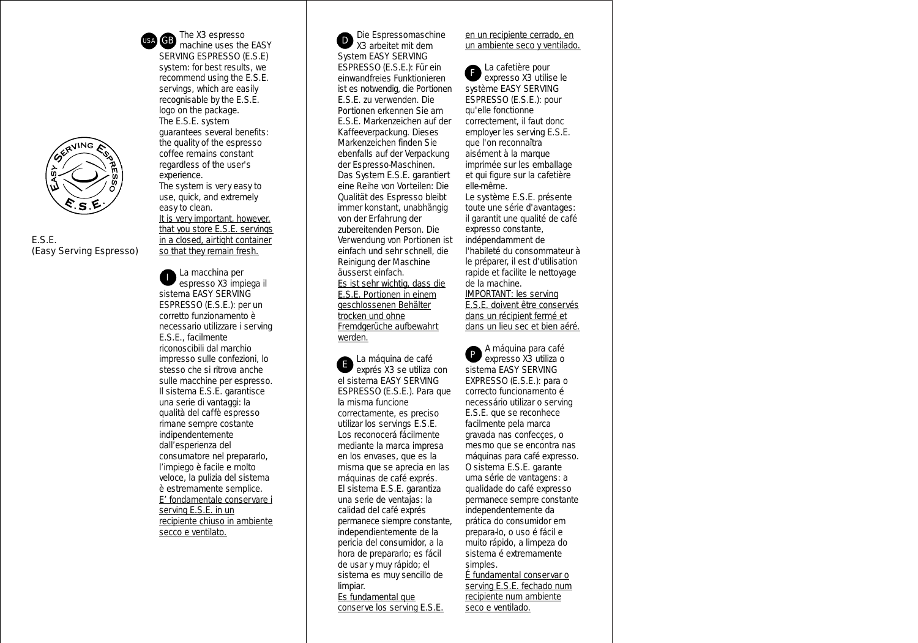

E.S.E. (Easy Serving Espresso)

The X3 espresso **GB** machine uses the EASY SERVING ESPRESSO (E.S.E) system: for best results, we recommend using the E.S.E. servings, which are easily recognisable by the E.S.E. logo on the package. The E.S.E. system guarantees several benefits: the quality of the espresso coffee remains constant regardless of the user's experience. The system is very easy to use, quick, and extremely easy to clean. It is very important, however, that you store E.S.E. servings in a closed, airtight container so that they remain fresh. USA

La macchina per espresso X3 impiega il sistema EASY SERVING ESPRESSO (E.S.E.): per un corretto funzionamento è necessario utilizzare i serving E.S.E., facilmente riconoscibili dal marchio impresso sulle confezioni, lo stesso che si ritrova anche sulle macchine per espresso. Il sistema E.S.E. garantisce una serie di vantaggi: la qualità del caffè espresso rimane sempre costante indipendentemente dall'esperienza del consumatore nel prepararlo, l'impiego è facile e molto veloce, la pulizia del sistema è estremamente semplice. E' fondamentale conservare i serving E.S.E. in un recipiente chiuso in ambiente secco e ventilato. I

Die Espressomaschine X3 arbeitet mit dem System EASY SERVING ESPRESSO (E.S.E.): Für ein einwandfreies Funktionieren ist es notwendig, die Portionen E.S.E. zu verwenden. Die Portionen erkennen Sie am E.S.E. Markenzeichen auf der Kaffeeverpackung. Dieses Markenzeichen finden Sie ebenfalls auf der Verpackung der Espresso-Maschinen. Das System E.S.E. garantiert eine Reihe von Vorteilen: Die Qualität des Espresso bleibt immer konstant, unabhängig von der Erfahrung der zubereitenden Person. Die Verwendung von Portionen ist einfach und sehr schnell, die Reinigung der Maschine äusserst einfach. Es ist sehr wichtig, dass die E.S.E. Portionen in einem geschlossenen Behälter trocken und ohne Fremdgerüche aufbewahrt werden.

La máquina de café exprés X3 se utiliza con el sistema EASY SERVING ESPRESSO (E.S.E.). Para que la misma funcione correctamente, es preciso utilizar los servings E.S.E. Los reconocerá fácilmente mediante la marca impresa en los envases, que es la misma que se aprecia en las máquinas de café exprés. El sistema E.S.E. garantiza una serie de ventajas: la calidad del café exprés permanece siempre constante, independientemente de la pericia del consumidor, a la hora de prepararlo; es fácil de usar y muy rápido; el sistema es muy sencillo de limpiar. E

Es fundamental que conserve los serving E.S.E.

## en un recipiente cerrado, en un ambiente seco y ventilado.

La cafetière pour expresso X3 utilise le système EASY SERVING ESPRESSO (E.S.E.): pour qu'elle fonctionne correctement, il faut donc employer les serving E.S.E. que l'on reconnaîtra aisément à la marque imprimée sur les emballage et qui figure sur la cafetière elle-même. Le système E.S.E. présente toute une série d'avantages: il garantit une qualité de café expresso constante, indépendamment de l'habileté du consommateur à le préparer, il est d'utilisation rapide et facilite le nettoyage de la machine. IMPORTANT: les serving E.S.E. doivent être conservés dans un récipient fermé et dans un lieu sec et bien aéré. F

A máquina para café expresso X3 utiliza o sistema EASY SERVING EXPRESSO (E.S.E.): para o correcto funcionamento é necessário utilizar o serving E.S.E. que se reconhece facilmente pela marca gravada nas confecçes, o mesmo que se encontra nas máquinas para café expresso. O sistema E.S.E. garante uma série de vantagens: a qualidade do café expresso permanece sempre constante independentemente da prática do consumidor em prepara-lo, o uso é fácil e muito rápido, a limpeza do sistema é extremamente simples. P

É fundamental conservar o serving E.S.E. fechado num recipiente num ambiente seco e ventilado.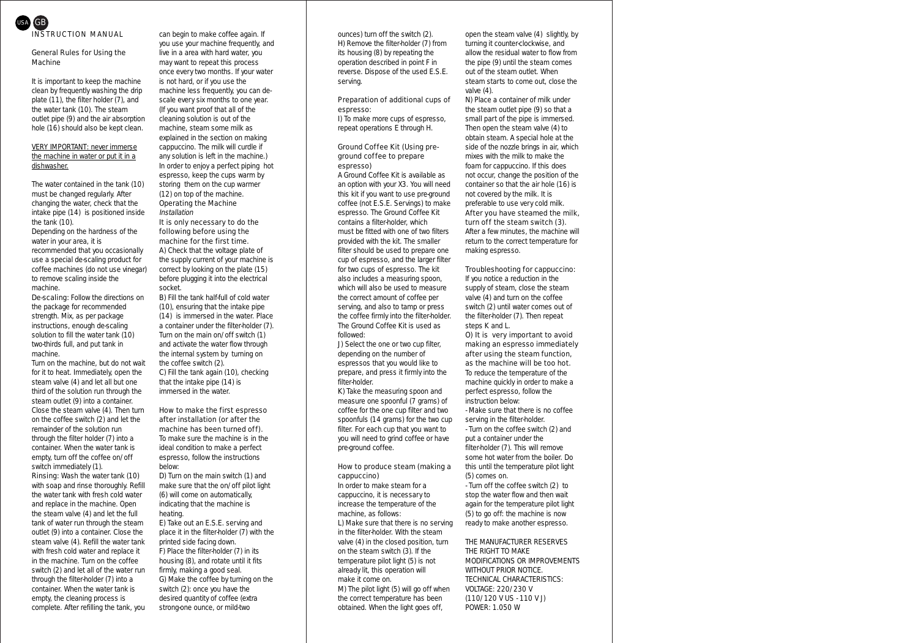

#### General Rules for Using the Machine

It is important to keep the machine clean by frequently washing the drip plate (11), the filter holder (7), and the water tank (10). The steam outlet pipe (9) and the air absorption hole (16) should also be kept clean.

#### VERY IMPORTANT: never immerse the machine in water or put it in a dishwasher.

The water contained in the tank (10) must be changed regularly. After changing the water, check that the intake pipe (14) is positioned inside the tank (10).

Depending on the hardness of the water in your area, it is recommended that you occasionally use a special de-scaling product for coffee machines (do not use vinegar) to remove scaling inside the machine.

De-scaling: Follow the directions on the package for recommended strength. Mix, as per package instructions, enough de-scaling solution to fill the water tank (10) two-thirds full, and put tank in machine.

Turn on the machine, but do not wait for it to heat. Immediately, open the steam valve (4) and let all but one third of the solution run through the steam outlet (9) into a container. Close the steam valve (4). Then turn on the coffee switch (2) and let the remainder of the solution run through the filter holder (7) into a container. When the water tank is empty, turn off the coffee on/off switch immediately (1).

Rinsing: Wash the water tank (10) with soap and rinse thoroughly. Refill the water tank with fresh cold water and replace in the machine. Open the steam valve (4) and let the full tank of water run through the steam outlet (9) into a container. Close the steam valve (4). Refill the water tank with fresh cold water and replace it in the machine. Turn on the coffee switch (2) and let all of the water run through the filter-holder (7) into a container. When the water tank is empty, the cleaning process is complete. After refilling the tank, you

can begin to make coffee again. If you use your machine frequently, and live in a area with hard water, you may want to repeat this process once every two months. If your water is not hard, or if you use the machine less frequently, you can descale every six months to one year. (If you want proof that all of the cleaning solution is out of the machine, steam some milk as explained in the section on making cappuccino. The milk will curdle if any solution is left in the machine.) In order to enjoy a perfect piping hot espresso, keep the cups warm by storing them on the cup warmer (12) on top of the machine. Operating the Machine

# Installation It is only necessary to do the

#### following before using the machine for the first time.

A) Check that the voltage plate of the supply current of your machine is correct by looking on the plate (15) before plugging it into the electrical socket.

B) Fill the tank half-full of cold water (10), ensuring that the intake pipe (14) is immersed in the water. Place a container under the filter-holder (7). Turn on the main on/off switch (1) and activate the water flow through the internal system by turning on the coffee switch (2). C) Fill the tank again (10), checking

that the intake pipe (14) is immersed in the water.

#### How to make the first espresso after installation (or after the machine has been turned off).

To make sure the machine is in the ideal condition to make a perfect espresso, follow the instructions below:

D) Turn on the main switch (1) and make sure that the on/off pilot light (6) will come on automatically, indicating that the machine is heating.

E) Take out an E.S.E. serving and place it in the filter-holder (7) with the printed side facing down. F) Place the filter-holder (7) in its housing (8), and rotate until it fits firmly, making a good seal.

G) Make the coffee by turning on the switch (2): once you have the desired quantity of coffee (extra strong-one ounce, or mild-two

ounces) turn off the switch (2). H) Remove the filter-holder (7) from its housing (8) by repeating the operation described in point F in reverse. Dispose of the used E.S.E. serving.

#### Preparation of additional cups of espresso:

I) To make more cups of espresso, repeat operations E through H.

#### Ground Coffee Kit (Using preground coffee to prepare espresso)

A Ground Coffee Kit is available as an option with your X3. You will need this kit if you want to use pre-ground coffee (not E.S.E. Servings) to make espresso. The Ground Coffee Kit contains a filter-holder, which must be fitted with one of two filters provided with the kit. The smaller filter should be used to prepare one cup of espresso, and the larger filter for two cups of espresso. The kit also includes a measuring spoon, which will also be used to measure the correct amount of coffee per serving, and also to tamp or press the coffee firmly into the filter-holder. The Ground Coffee Kit is used as followed:

J) Select the one or two cup filter, depending on the number of espressos that you would like to prepare, and press it firmly into the filter-holder.

K) Take the measuring spoon and measure one spoonful (7 grams) of coffee for the one cup filter and two spoonfuls (14 grams) for the two cup filter. For each cup that you want to you will need to grind coffee or have pre-ground coffee.

#### How to produce steam (making a cappuccino)

In order to make steam for a cappuccino, it is necessary to increase the temperature of the machine, as follows: L) Make sure that there is no serving in the filter-holder. With the steam valve (4) in the closed position, turn on the steam switch (3). If the temperature pilot light (5) is not already lit, this operation will make it come on.

M) The pilot light (5) will go off when the correct temperature has been obtained. When the light goes off,

open the steam valve (4) slightly, by turning it counter-clockwise, and allow the residual water to flow from the pipe (9) until the steam comes out of the steam outlet. When steam starts to come out, close the valve (4).

N) Place a container of milk under the steam outlet pipe (9) so that a small part of the pipe is immersed. Then open the steam valve (4) to obtain steam. A special hole at the side of the nozzle brings in air, which mixes with the milk to make the foam for cappuccino. If this does not occur, change the position of the container so that the air hole (16) is not covered by the milk. It is preferable to use very cold milk. After you have steamed the milk, turn off the steam switch (3).

After a few minutes, the machine will return to the correct temperature for making espresso.

#### Troubleshooting for cappuccino:

If you notice a reduction in the supply of steam, close the steam valve (4) and turn on the coffee switch (2) until water comes out of the filter-holder (7). Then repeat steps K and L.

#### O) It is very important to avoid making an espresso immediately after using the steam function, as the machine will be too hot.

To reduce the temperature of the machine quickly in order to make a perfect espresso, follow the instruction below:

- Make sure that there is no coffee serving in the filter-holder.

- Turn on the coffee switch (2) and put a container under the filter-holder (7). This will remove some hot water from the boiler. Do this until the temperature pilot light (5) comes on.

- Turn off the coffee switch (2) to stop the water flow and then wait again for the temperature pilot light (5) to go off: the machine is now ready to make another espresso.

THE MANUFACTURER RESERVES THE RIGHT TO MAKE MODIFICATIONS OR IMPROVEMENTS WITHOUT PRIOR NOTICE. TECHNICAL CHARACTERISTICS: VOLTAGE: 220/230 V (110/120 V US - 110 V J) POWER: 1.050 W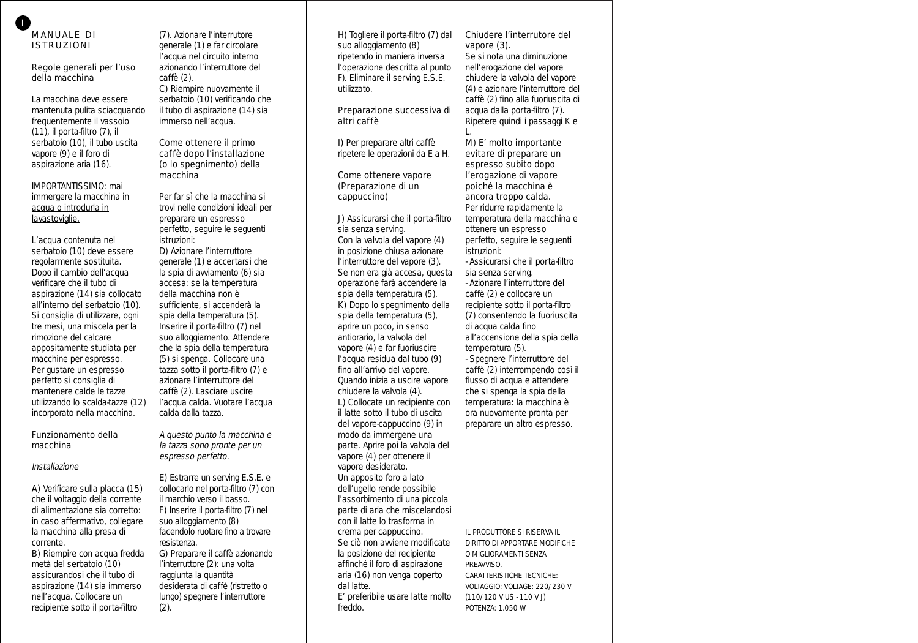# MANUALE DI ISTRUZIONI

I

#### Regole generali per l'uso della macchina

La macchina deve essere mantenuta pulita sciacquando frequentemente il vassoio (11), il porta-filtro (7), il serbatoio (10), il tubo uscita vapore (9) e il foro di aspirazione aria (16).

#### IMPORTANTISSIMO: mai immergere la macchina in acqua o introdurla in lavastoviglie.

L'acqua contenuta nel serbatoio (10) deve essere regolarmente sostituita. Dopo il cambio dell'acqua verificare che il tubo di aspirazione (14) sia collocato all'interno del serbatoio (10). Si consiglia di utilizzare, ogni tre mesi, una miscela per la rimozione del calcare appositamente studiata per macchine per espresso. Per gustare un espresso perfetto si consiglia di mantenere calde le tazze utilizzando lo scalda-tazze (12) incorporato nella macchina.

#### Funzionamento della macchina

#### Installazione

A) Verificare sulla placca (15) che il voltaggio della corrente di alimentazione sia corretto: in caso affermativo, collegare la macchina alla presa di corrente.

**B)** Riempire con acqua fredda metà del serbatoio (10) assicurandosi che il tubo di aspirazione (14) sia immerso nell'acqua. Collocare un recipiente sotto il porta-filtro

(7). Azionare l'interrutore generale (1) e far circolare l'acqua nel circuito interno azionando l'interruttore del caffè (2). C) Riempire nuovamente il

serbatoio (10) verificando che il tubo di aspirazione (14) sia immerso nell'acqua.

#### Come ottenere il primo caffè dopo l'installazione (o lo spegnimento) della macchina

Per far sì che la macchina si trovi nelle condizioni ideali per preparare un espresso perfetto, seguire le seguenti istruzioni:

D) Azionare l'interruttore generale (1) e accertarsi che la spia di avviamento (6) sia accesa: se la temperatura della macchina non è sufficiente, si accenderà la spia della temperatura (5). Inserire il porta-filtro (7) nel suo alloggiamento. Attendere che la spia della temperatura (5) si spenga. Collocare una tazza sotto il porta-filtro (7) e azionare l'interruttore del caffè (2). Lasciare uscire l'acqua calda. Vuotare l'acqua calda dalla tazza.

A questo punto la macchina e la tazza sono pronte per un espresso perfetto.

E) Estrarre un serving E.S.E. e collocarlo nel porta-filtro (7) con il marchio verso il basso. F) Inserire il porta-filtro (7) nel suo alloggiamento (8) facendolo ruotare fino a trovare resistenza. G) Preparare il caffè azionando l'interruttore (2): una volta raggiunta la quantità desiderata di caffè (ristretto o lungo) spegnere l'interruttore (2).

H) Togliere il porta-filtro (7) dal suo alloggiamento (8) ripetendo in maniera inversa l'operazione descritta al punto F). Eliminare il serving E.S.E. utilizzato.

# Preparazione successiva di altri caffè

I) Per preparare altri caffè ripetere le operazioni da E a H.

# Come ottenere vapore (Preparazione di un cappuccino)

J) Assicurarsi che il porta-filtro sia senza serving. Con la valvola del vapore (4) in posizione chiusa azionare l'interruttore del vapore (3). Se non era già accesa, questa operazione farà accendere la spia della temperatura (5). K) Dopo lo spegnimento della spia della temperatura (5), aprire un poco, in senso antiorario, la valvola del vapore (4) e far fuoriuscire l'acqua residua dal tubo (9) fino all'arrivo del vapore. Quando inizia a uscire vapore chiudere la valvola (4). L) Collocate un recipiente con il latte sotto il tubo di uscita del vapore-cappuccino (9) in modo da immergene una parte. Aprire poi la valvola del vapore (4) per ottenere il vapore desiderato. Un apposito foro a lato dell'ugello rende possibile l'assorbimento di una piccola parte di aria che miscelandosi con il latte lo trasforma in crema per cappuccino. Se ciò non avviene modificate la posizione del recipiente affinché il foro di aspirazione aria (16) non venga coperto dal latte.

E' preferibile usare latte molto freddo.

# Chiudere l'interrutore del vapore (3).

Se si nota una diminuzione nell'erogazione del vapore chiudere la valvola del vapore (4) e azionare l'interruttore del caffè (2) fino alla fuoriuscita di acqua dalla porta-filtro (7). Ripetere quindi i passaggi K e L.

#### M) E' molto importante evitare di preparare un espresso subito dopo l'erogazione di vapore poiché la macchina è ancora troppo calda.

Per ridurre rapidamente la temperatura della macchina e ottenere un espresso perfetto, seguire le seguenti istruzioni:

- Assicurarsi che il porta-filtro sia senza serving.

- Azionare l'interruttore del caffè (2) e collocare un recipiente sotto il porta-filtro (7) consentendo la fuoriuscita di acqua calda fino all'accensione della spia della temperatura (5).

- Spegnere l'interruttore del caffè (2) interrompendo così il flusso di acqua e attendere che si spenga la spia della temperatura: la macchina è ora nuovamente pronta per preparare un altro espresso.

IL PRODUTTORE SI RISERVA IL DIRITTO DI APPORTARE MODIFICHE O MIGLIORAMENTI SENZA **PREAVVISO** CARATTERISTICHE TECNICHE: VOLTAGGIO: VOLTAGE: 220/230 V (110/120 V US - 110 V J) POTENZA: 1.050 W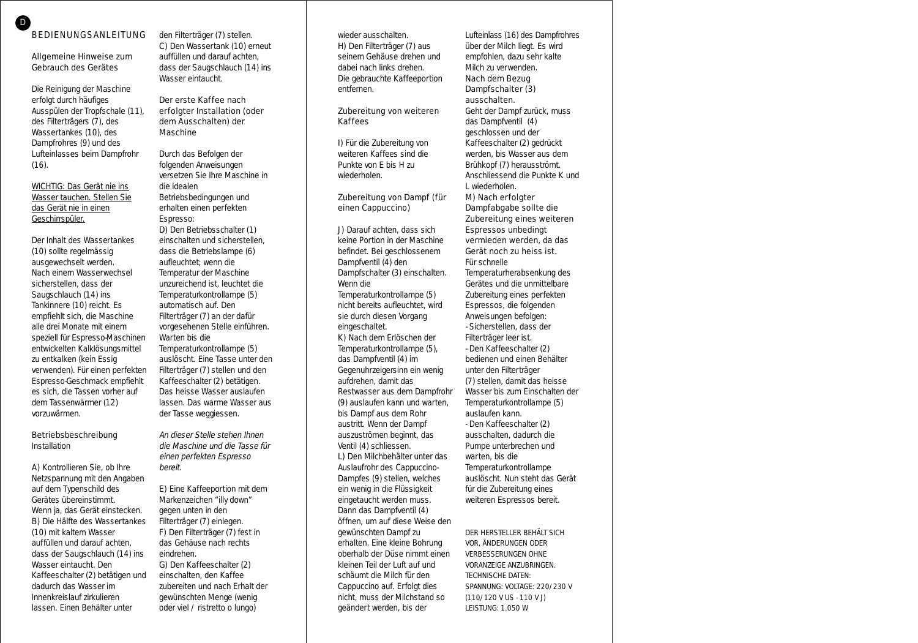# BEDIENUNGSANLEITUNG D

### Allgemeine Hinweise zum Gebrauch des Gerätes

Die Reinigung der Maschine erfolgt durch häufiges Ausspülen der Tropfschale (11), des Filterträgers (7), des Wassertankes (10), des Dampfrohres (9) und des Lufteinlasses beim Dampfrohr  $(16)$ .

WICHTIG: Das Gerät nie ins Wasser tauchen. Stellen Sie das Gerät nie in einen Geschirrspüler.

Der Inhalt des Wassertankes (10) sollte regelmässig ausgewechselt werden. Nach einem Wasserwechsel sicherstellen, dass der Saugschlauch (14) ins Tankinnere (10) reicht. Es empfiehlt sich, die Maschine alle drei Monate mit einem speziell für Espresso-Maschinen entwickelten Kalklösungsmittel zu entkalken (kein Essig verwenden). Für einen perfekten Espresso-Geschmack empfiehlt es sich, die Tassen vorher auf dem Tassenwärmer (12) vorzuwärmen.

#### Betriebsbeschreibung Installation

A) Kontrollieren Sie, ob Ihre Netzspannung mit den Angaben auf dem Typenschild des Gerätes übereinstimmt. Wenn ja, das Gerät einstecken. B) Die Hälfte des Wassertankes (10) mit kaltem Wasser auffüllen und darauf achten, dass der Saugschlauch (14) ins Wasser eintaucht. Den Kaffeeschalter (2) betätigen und dadurch das Wasser im Innenkreislauf zirkulieren lassen. Einen Behälter unter

den Filterträger (7) stellen. C) Den Wassertank (10) erneut auffüllen und darauf achten, dass der Saugschlauch (14) ins Wasser eintaucht.

#### Der erste Kaffee nach erfolgter Installation (oder dem Ausschalten) der Maschine

Durch das Befolgen der folgenden Anweisungen versetzen Sie Ihre Maschine in die idealen Betriebsbedingungen und erhalten einen perfekten Espresso: D) Den Betriebsschalter (1) einschalten und sicherstellen, dass die Betriebslampe (6) aufleuchtet; wenn die Temperatur der Maschine unzureichend ist, leuchtet die Temperaturkontrollampe (5) automatisch auf. Den Filterträger (7) an der dafür vorgesehenen Stelle einführen. Warten bis die Temperaturkontrollampe (5) auslöscht. Eine Tasse unter den Filterträger (7) stellen und den Kaffeeschalter (2) betätigen. Das heisse Wasser auslaufen lassen. Das warme Wasser aus der Tasse weggiessen.

An dieser Stelle stehen Ihnen die Maschine und die Tasse für einen perfekten Espresso bereit.

E) Eine Kaffeeportion mit dem Markenzeichen "illy down" gegen unten in den Filterträger (7) einlegen. F) Den Filterträger (7) fest in das Gehäuse nach rechts eindrehen.

G) Den Kaffeeschalter (2) einschalten, den Kaffee zubereiten und nach Erhalt der gewünschten Menge (wenig oder viel / ristretto o lungo)

#### wieder ausschalten.

H) Den Filterträger (7) aus seinem Gehäuse drehen und dabei nach links drehen. Die gebrauchte Kaffeeportion entfernen.

#### Zubereitung von weiteren Kaffees

I) Für die Zubereitung von weiteren Kaffees sind die Punkte von E bis H zu wiederholen.

#### Zubereitung von Dampf (für einen Cappuccino)

J) Darauf achten, dass sich keine Portion in der Maschine befindet. Bei geschlossenem Dampfventil (4) den Dampfschalter (3) einschalten. Wenn die Temperaturkontrollampe (5) nicht bereits aufleuchtet, wird sie durch diesen Vorgang eingeschaltet. K) Nach dem Erlöschen der Temperaturkontrollampe (5), das Dampfventil (4) im Gegenuhrzeigersinn ein wenig aufdrehen, damit das Restwasser aus dem Dampfrohr (9) auslaufen kann und warten, bis Dampf aus dem Rohr austritt. Wenn der Dampf auszuströmen beginnt, das Ventil (4) schliessen. L) Den Milchbehälter unter das Auslaufrohr des Cappuccino-Dampfes (9) stellen, welches ein wenig in die Flüssigkeit eingetaucht werden muss. Dann das Dampfventil (4) öffnen, um auf diese Weise den gewünschten Dampf zu erhalten. Eine kleine Bohrung oberhalb der Düse nimmt einen kleinen Teil der Luft auf und schäumt die Milch für den Cappuccino auf. Erfolgt dies nicht, muss der Milchstand so geändert werden, bis der

Lufteinlass (16) des Dampfrohres über der Milch liegt. Es wird empfohlen, dazu sehr kalte Milch zu verwenden.

#### Nach dem Bezug Dampfschalter (3) ausschalten.

Geht der Dampf zurück, muss das Dampfventil (4) geschlossen und der Kaffeeschalter (2) gedrückt werden, bis Wasser aus dem Brühkopf (7) herausströmt. Anschliessend die Punkte K und L wiederholen.

#### M) Nach erfolgter Dampfabgabe sollte die Zubereitung eines weiteren Espressos unbedingt

vermieden werden, da das Gerät noch zu heiss ist. Für schnelle

Temperaturherabsenkung des Gerätes und die unmittelbare Zubereitung eines perfekten Espressos, die folgenden Anweisungen befolgen: - Sicherstellen, dass der Filterträger leer ist. - Den Kaffeeschalter (2) bedienen und einen Behälter unter den Filterträger (7) stellen, damit das heisse Wasser bis zum Einschalten der Temperaturkontrollampe (5) auslaufen kann. - Den Kaffeeschalter (2)

ausschalten, dadurch die Pumpe unterbrechen und warten, bis die Temperaturkontrollampe auslöscht. Nun steht das Gerät für die Zubereitung eines weiteren Espressos bereit.

DER HERSTELLER BEHÄLT SICH VOR, ÄNDERUNGEN ODER VERBESSERUNGEN OHNE VORANZEIGE ANZUBRINGEN. TECHNISCHE DATEN: SPANNUNG: VOLTAGE: 220/230 V (110/120 V US - 110 V J) LEISTUNG: 1.050 W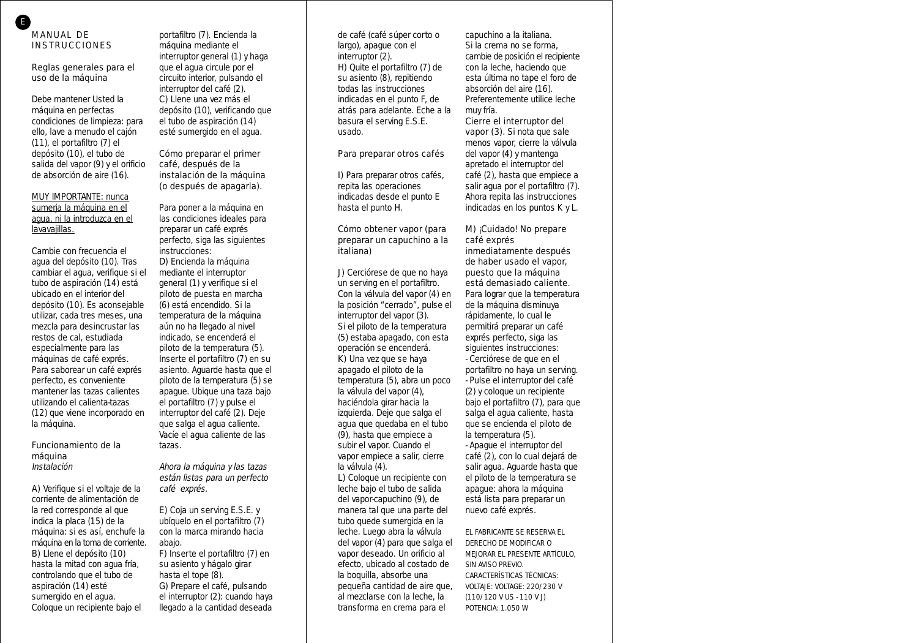# MANIJAI DE INSTRUCCIONES

E

#### Reglas generales para el uso de la máquina

Debe mantener Usted la máquina en perfectas condiciones de limpieza: para ello, lave a menudo el cajón (11), el portafiltro (7) el depósito (10), el tubo de salida del vapor (9) y el orificio de absorción de aire (16).

#### MUY IMPORTANTE: nunca sumeria la máquina en el agua, ni la introduzca en el lavavajillas.

Cambie con frecuencia el agua del depósito (10). Tras cambiar el agua, verifique si el tubo de aspiración (14) está ubicado en el interior del depósito (10). Es aconsejable utilizar, cada tres meses, una mezcla para desincrustar las restos de cal, estudiada especialmente para las máquinas de café exprés. Para saborear un café exprés perfecto, es conveniente mantener las tazas calientes utilizando el calienta-tazas (12) que viene incorporado en la máquina.

# Funcionamiento de la máquina

Instalación

A) Verifique si el voltaje de la corriente de alimentación de la red corresponde al que indica la placa (15) de la máquina: si es así, enchufe la máquina en la toma de corriente. B) Llene el depósito (10) hasta la mitad con agua fría, controlando que el tubo de aspiración (14) esté sumergido en el agua. Coloque un recipiente bajo el

portafiltro (7). Encienda la máquina mediante el interruptor general (1) y haga que el agua circule por el circuito interior, pulsando el interruptor del café (2). C) Llene una vez más el depósito (10), verificando que el tubo de aspiración (14) esté sumergido en el agua.

## Cómo preparar el primer café, después de la instalación de la máquina (o después de apagarla).

Para poner a la máquina en las condiciones ideales para preparar un café exprés perfecto, siga las siguientes instrucciones: D) Encienda la máquina mediante el interruptor general (1) y verifique si el piloto de puesta en marcha (6) está encendido. Si la temperatura de la máquina aún no ha llegado al nivel indicado, se encenderá el piloto de la temperatura (5). Inserte el portafiltro (7) en su asiento. Aguarde hasta que el piloto de la temperatura (5) se apague. Ubique una taza bajo el portafiltro (7) y pulse el interruptor del café (2). Deje que salga el agua caliente. Vacíe el agua caliente de las tazas.

Ahora la máquina y las tazas están listas para un perfecto café exprés.

E) Coja un serving E.S.E. y ubíquelo en el portafiltro (7) con la marca mirando hacia abajo.

F) Inserte el portafiltro (7) en su asiento y hágalo girar hasta el tope (8).

G) Prepare el café, pulsando el interruptor (2): cuando haya llegado a la cantidad deseada

de café (café súper corto o largo), apague con el interruptor (2). H) Quite el portafiltro (7) de su asiento (8), repitiendo todas las instrucciones indicadas en el punto F, de atrás para adelante. Eche a la basura el serving E.S.E. usado.

#### Para preparar otros cafés

I) Para preparar otros cafés, repita las operaciones indicadas desde el punto E hasta el punto H.

## Cómo obtener vapor (para preparar un capuchino a la italiana)

J) Cerciórese de que no haya un serving en el portafiltro. Con la válvula del vapor (4) en la posición "cerrado", pulse el interruptor del vapor (3). Si el piloto de la temperatura (5) estaba apagado, con esta operación se encenderá. K) Una vez que se haya apagado el piloto de la temperatura (5), abra un poco la válvula del vapor (4), haciéndola girar hacia la izquierda. Deje que salga el agua que quedaba en el tubo (9), hasta que empiece a subir el vapor. Cuando el vapor empiece a salir, cierre la válvula (4).

L) Coloque un recipiente con leche bajo el tubo de salida del vapor-capuchino (9), de manera tal que una parte del tubo quede sumergida en la leche. Luego abra la válvula del vapor (4) para que salga el vapor deseado. Un orificio al efecto, ubicado al costado de la boquilla, absorbe una pequeña cantidad de aire que, al mezclarse con la leche, la transforma en crema para el

capuchino a la italiana. Si la crema no se forma, cambie de posición el recipiente con la leche, haciendo que esta última no tape el foro de absorción del aire (16). Preferentemente utilice leche muy fría.

## Cierre el interruptor del

vapor (3). Si nota que sale menos vapor, cierre la válvula del vapor (4) y mantenga apretado el interruptor del café (2), hasta que empiece a salir agua por el portafiltro (7). Ahora repita las instrucciones indicadas en los puntos K y L.

#### M) ¡Cuidado! No prepare café exprés inmediatamente después de haber usado el vapor, puesto que la máquina está demasiado caliente.

Para lograr que la temperatura de la máquina disminuya rápidamente, lo cual le permitirá preparar un café exprés perfecto, siga las siguientes instrucciones: - Cerciórese de que en el portafiltro no haya un serving. - Pulse el interruptor del café (2) y coloque un recipiente bajo el portafiltro (7), para que

salga el agua caliente, hasta que se encienda el piloto de la temperatura (5). - Apague el interruptor del café (2), con lo cual dejará de salir agua. Aguarde hasta que el piloto de la temperatura se apague: ahora la máquina está lista para preparar un

EL FABRICANTE SE RESERVA EL DERECHO DE MODIFICAR O MEJORAR EL PRESENTE ARTÍCULO, SIN AVISO PREVIO. CARACTERÍSTICAS TÉCNICAS: VOLTAJE: VOLTAGE: 220/230 V (110/120 V US - 110 V J) POTENCIA: 1.050 W

nuevo café exprés.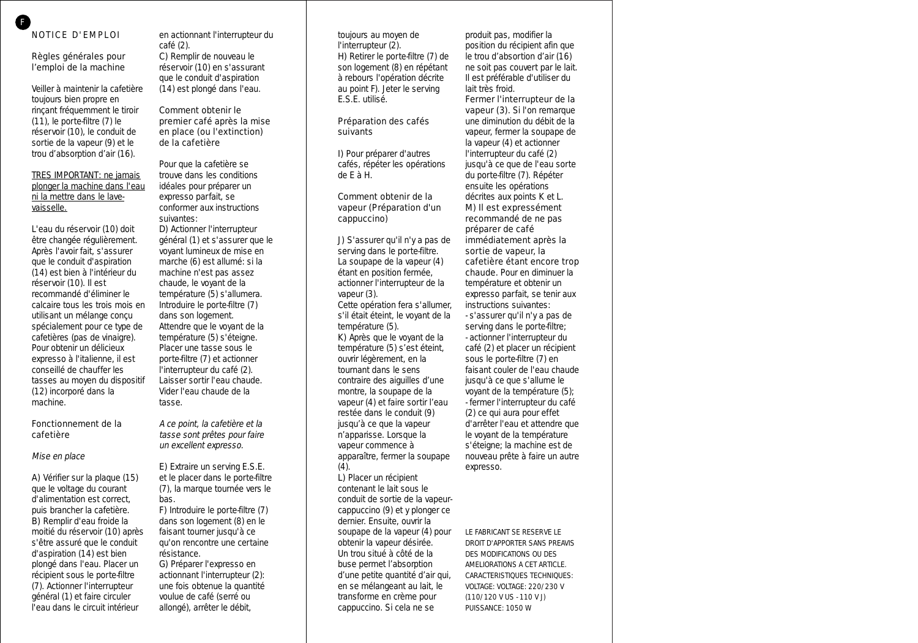## Règles générales pour l'emploi de la machine

Veiller à maintenir la cafetière toujours bien propre en rinçant fréquemment le tiroir (11), le porte-filtre (7) le réservoir (10), le conduit de sortie de la vapeur (9) et le trou d'absorption d'air (16).

TRES IMPORTANT: ne jamais plonger la machine dans l'eau ni la mettre dans le lavevaisselle.

L'eau du réservoir (10) doit être changée régulièrement. Après l'avoir fait, s'assurer que le conduit d'aspiration (14) est bien à l'intérieur du réservoir (10). Il est recommandé d'éliminer le calcaire tous les trois mois en utilisant un mélange conçu spécialement pour ce type de cafetières (pas de vinaigre). Pour obtenir un délicieux expresso à l'italienne, il est conseillé de chauffer les tasses au moyen du dispositif (12) incorporé dans la machine.

#### Fonctionnement de la cafetière

#### Mise en place

A) Vérifier sur la plaque (15) que le voltage du courant d'alimentation est correct, puis brancher la cafetière. B) Remplir d'eau froide la moitié du réservoir (10) après s'être assuré que le conduit d'aspiration (14) est bien plongé dans l'eau. Placer un récipient sous le porte-filtre (7). Actionner l'interrupteur général (1) et faire circuler l'eau dans le circuit intérieur

en actionnant l'interrupteur du café (2). C) Remplir de nouveau le

réservoir (10) en s'assurant que le conduit d'aspiration (14) est plongé dans l'eau.

#### Comment obtenir le premier café après la mise en place (ou l'extinction) de la cafetière

Pour que la cafetière se trouve dans les conditions idéales pour préparer un expresso parfait, se conformer aux instructions suivantes:

D) Actionner l'interrupteur général (1) et s'assurer que le voyant lumineux de mise en marche (6) est allumé: si la machine n'est pas assez chaude, le voyant de la température (5) s'allumera. Introduire le porte-filtre (7) dans son logement. Attendre que le voyant de la température (5) s'éteigne. Placer une tasse sous le porte-filtre (7) et actionner l'interrupteur du café (2). Laisser sortir l'eau chaude. Vider l'eau chaude de la tasse.

A ce point, la cafetière et la tasse sont prêtes pour faire un excellent expresso.

E) Extraire un serving E.S.E. et le placer dans le porte-filtre (7), la marque tournée vers le bas.

F) Introduire le porte-filtre (7) dans son logement (8) en le faisant tourner jusqu'à ce qu'on rencontre une certaine résistance.

G) Préparer l'expresso en actionnant l'interrupteur (2): une fois obtenue la quantité voulue de café (serré ou allongé), arrêter le débit,

toujours au moyen de l'interrupteur (2).

H) Retirer le porte-filtre (7) de son logement (8) en répétant à rebours l'opération décrite au point F). Jeter le serving E.S.E. utilisé.

## Préparation des cafés suivants

I) Pour préparer d'autres cafés, répéter les opérations de E à H.

# Comment obtenir de la vapeur (Préparation d'un cappuccino)

J) S'assurer qu'il n'v a pas de serving dans le porte-filtre. La soupape de la vapeur (4) étant en position fermée, actionner l'interrupteur de la vapeur (3).

Cette opération fera s'allumer, s'il était éteint, le voyant de la température (5).

K) Après que le voyant de la température (5) s'est éteint, ouvrir légèrement, en la tournant dans le sens contraire des aiguilles d'une montre, la soupape de la vapeur (4) et faire sortir l'eau restée dans le conduit (9) jusqu'à ce que la vapeur n'apparisse. Lorsque la vapeur commence à apparaître, fermer la soupape  $(4)$ .

L) Placer un récipient contenant le lait sous le conduit de sortie de la vapeurcappuccino (9) et y plonger ce dernier. Ensuite, ouvrir la soupape de la vapeur (4) pour obtenir la vapeur désirée. Un trou situé à côté de la buse permet l'absorption d'une petite quantité d'air qui, en se mélangeant au lait, le transforme en crème pour cappuccino. Si cela ne se

produit pas, modifier la position du récipient afin que le trou d'absortion d'air (16) ne soit pas couvert par le lait. Il est préférable d'utiliser du lait très froid.

Fermer l'interrupteur de la vapeur (3). Si l'on remarque une diminution du débit de la vapeur, fermer la soupape de la vapeur (4) et actionner l'interrupteur du café (2) jusqu'à ce que de l'eau sorte du porte-filtre (7). Répéter ensuite les opérations décrites aux points K et L. M) Il est expressément recommandé de ne pas préparer de café immédiatement après la sortie de vapeur, la cafetière étant encore trop chaude. Pour en diminuer la température et obtenir un expresso parfait, se tenir aux instructions suivantes: - s'assurer qu'il n'y a pas de serving dans le porte-filtre; - actionner l'interrupteur du café (2) et placer un récipient sous le porte-filtre (7) en faisant couler de l'eau chaude jusqu'à ce que s'allume le voyant de la température (5); - fermer l'interrupteur du café (2) ce qui aura pour effet d'arrêter l'eau et attendre que le voyant de la température s'éteigne; la machine est de nouveau prête à faire un autre expresso.

LE FABRICANT SE RESERVE LE DROIT D'APPORTER SANS PREAVIS DES MODIFICATIONS OU DES AMELIORATIONS A CET ARTICLE. CARACTERISTIQUES TECHNIQUES: VOLTAGE: VOLTAGE: 220/230 V (110/120 V US - 110 V J) PUISSANCE: 1050 W